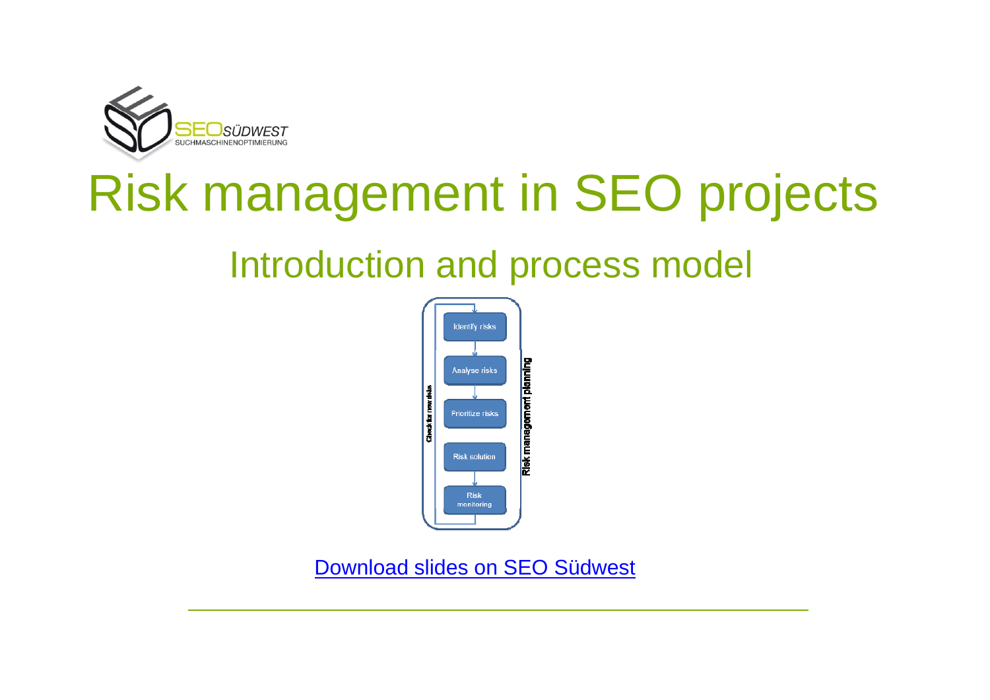

# Risk management in SEO projects

# Introduction and process model



Download slides on SEO Südwest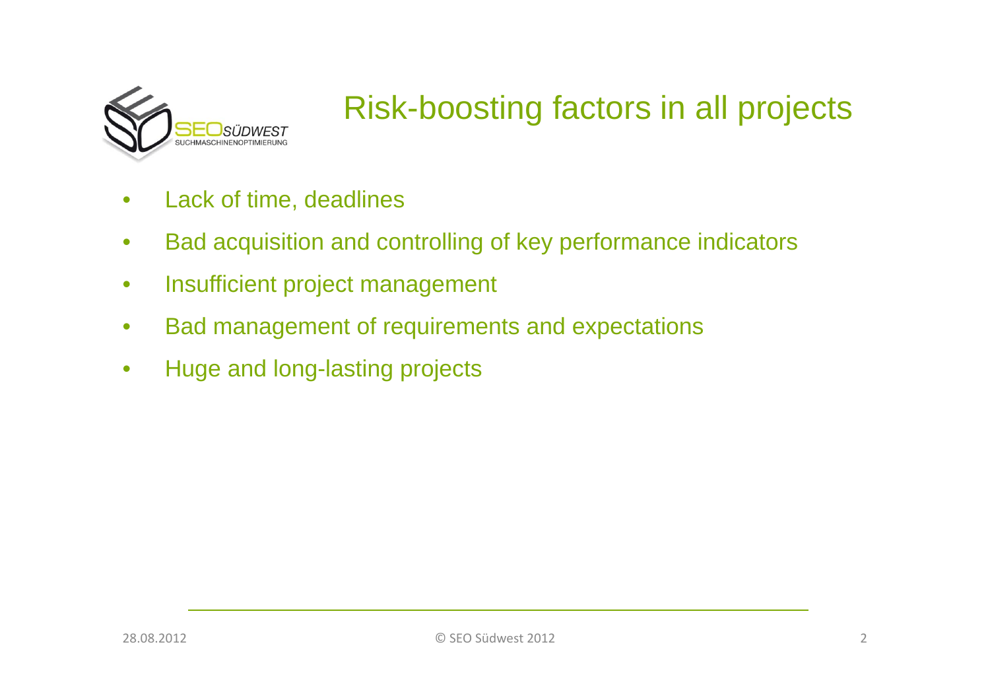

# Risk-boosting factors in all projects

- Lack of time, deadlines •
- $\bullet$ Bad acquisition and controlling of key performance indicators
- $\bullet$ Insufficient project management
- $\bullet$ Bad management of requirements and expectations
- $\bullet$ Huge and long-lasting projects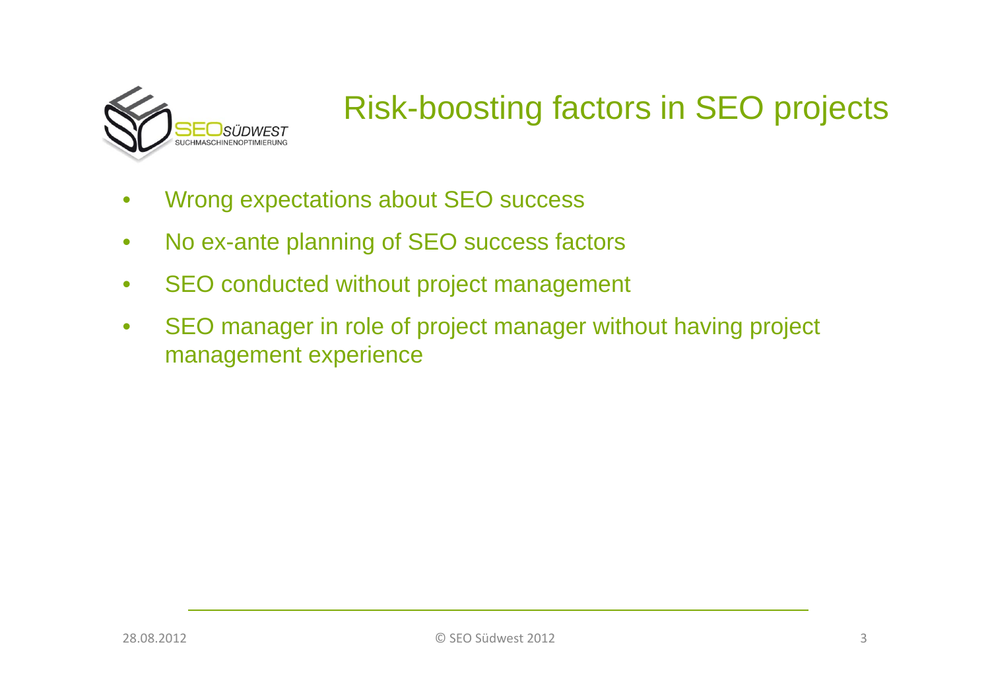

# Risk-boosting factors in SEO projects

- Wrong expectations about SEO success •
- $\bullet$ No ex-ante planning of SEO success factors
- $\bullet$ SEO conducted without project management
- $\bullet$  SEO manager in role of project manager without having project management experience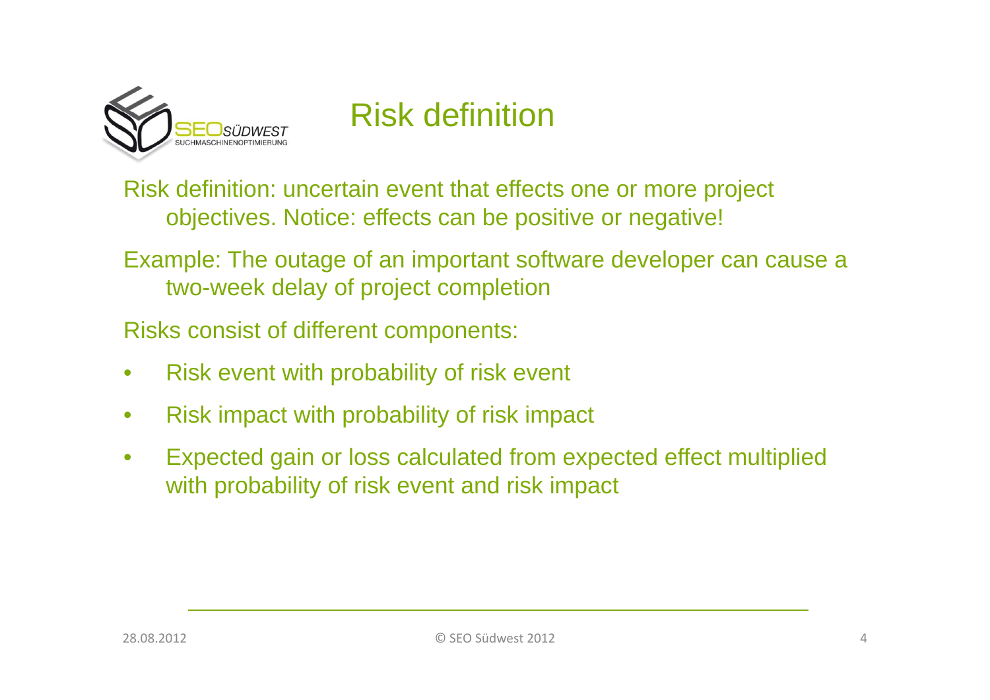

# Risk definition

Risk definition: uncertain event that effects one or more project objectives. Notice: effects can be positive or negative!

Example: The outage of an important software developer can cause <sup>a</sup> two-week delay of project completion

Risks consist of different components:

- $\bullet$ Risk event with probability of risk event
- $\bullet$ Risk impact with probability of risk impact
- $\bullet$  Expected gain or loss calculated from expected effect multiplied with probability of risk event and risk impact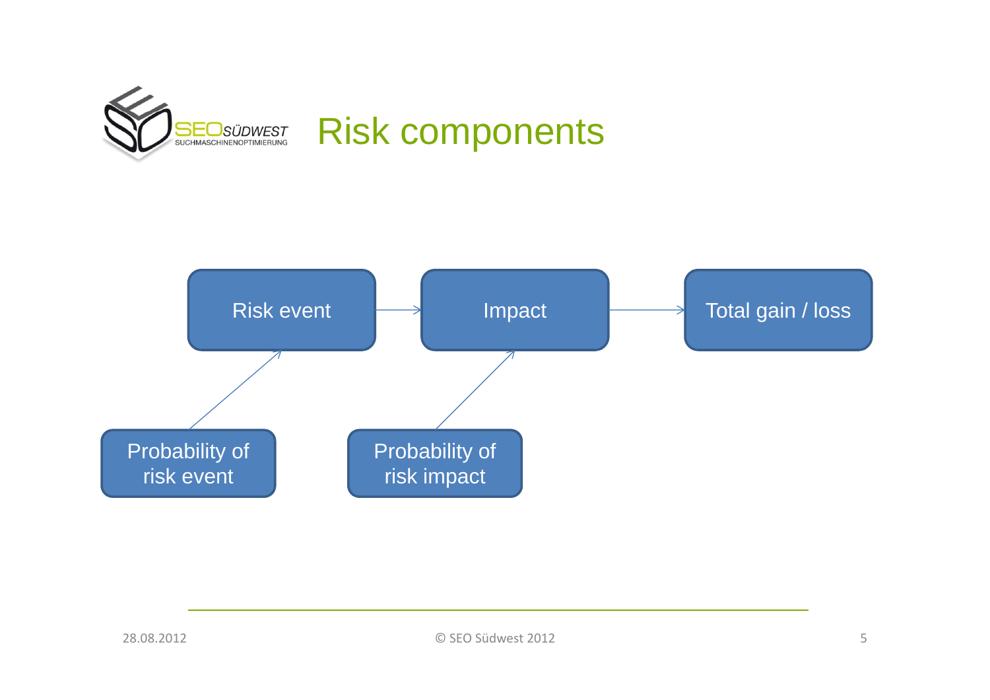

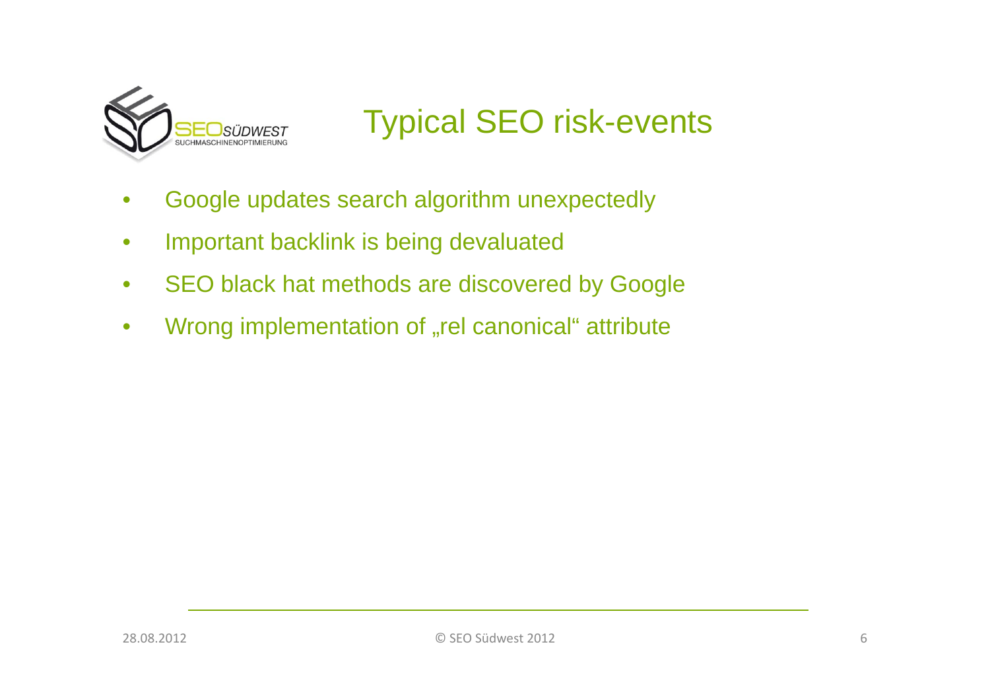

### Typical SEO risk-events

- Google updates search algorithm unexpectedly •
- $\bullet$ Important backlink is being devaluated
- $\bullet$ SEO black hat methods are discovered by Google
- $\bullet$ Wrong implementation of "rel canonical" attribute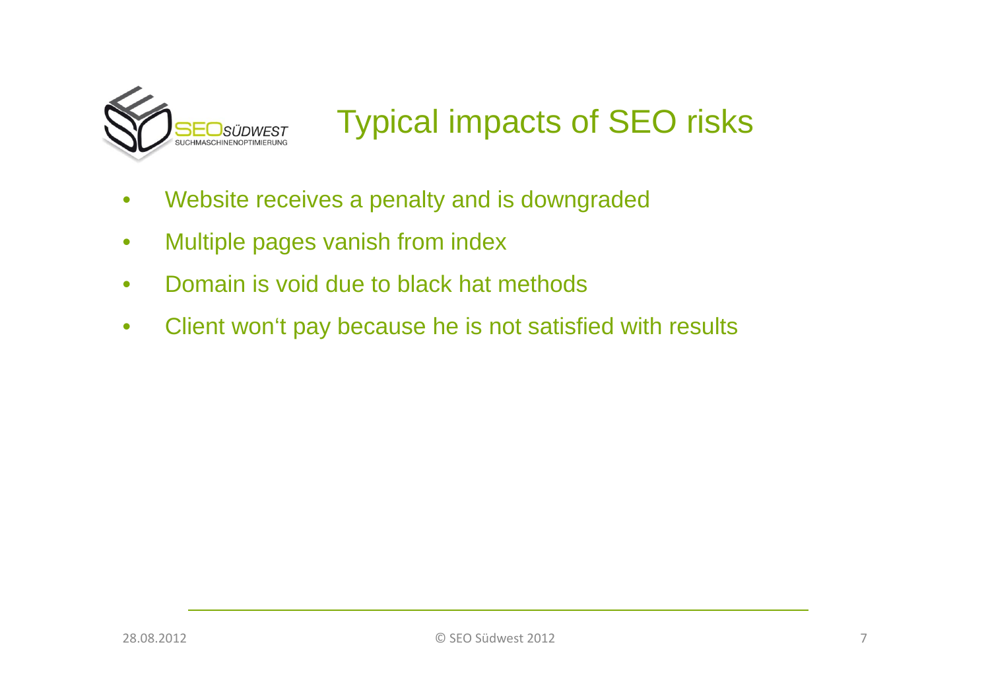

## Typical impacts of SEO risks

- Website receives a penalty and is downgraded<br>● Multinle nages vanish from index  $\bullet$
- Multiple pages vanish from index
- $\bullet$ Domain is void due to black hat methods
- $\bullet$ Client won't pay because he is not satisfied with results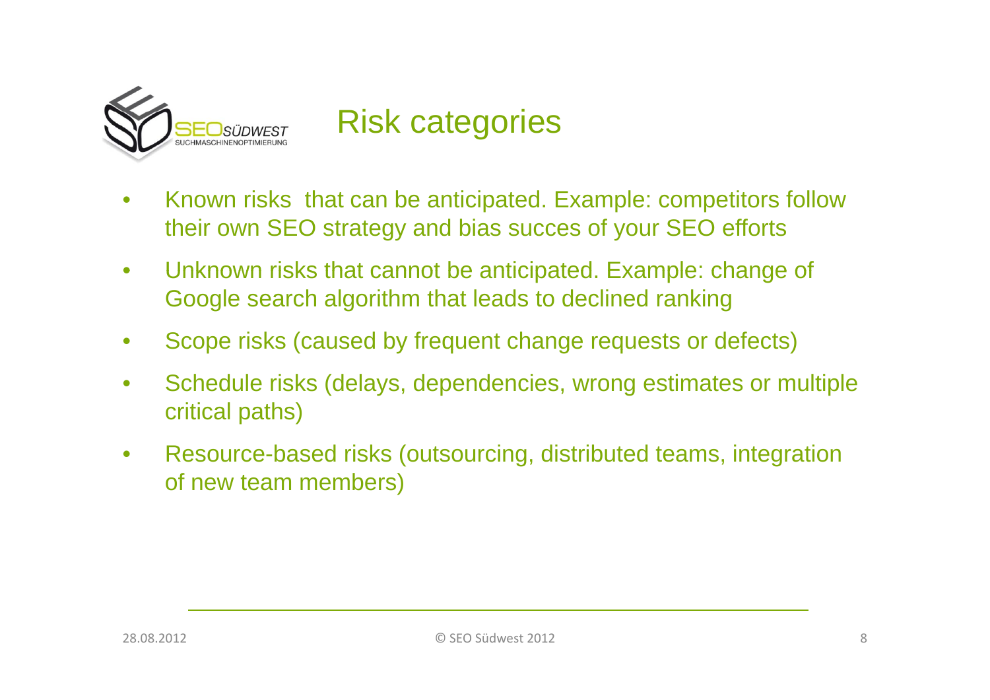

#### Risk categories

- Known risks that can be anticipated. Example: competitors follow •their own SEO strategy and bias succes of your SEO efforts
- $\bullet$  $\bullet$   $\;\;$  Unknown risks that cannot be anticipated. Example: change of Google search algorithm that leads to declined ranking
- $\bullet$ Scope risks (caused by frequent change requests or defects)
- $\bullet$  Schedule risks (delays, dependencies, wrong estimates or multiple critical paths)
- $\bullet$  Resource-based risks (outsourcing, distributed teams, integration of new team members)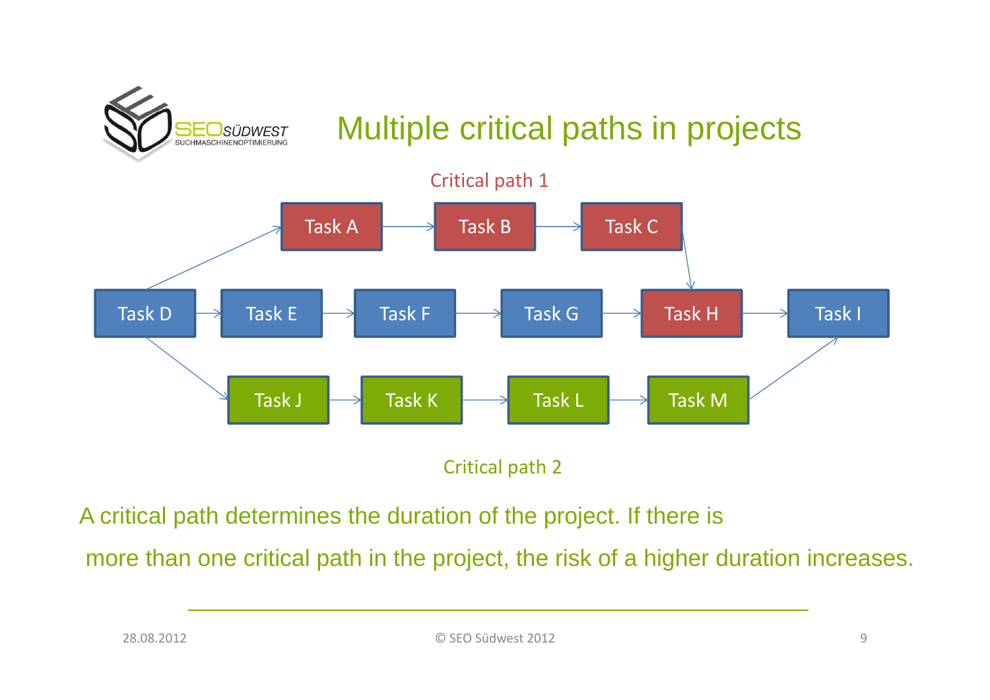

## Multiple critical paths in projects



Critical path 2

A critical path determines the duration of the project. If there is

more than one critical path in the project, the risk of a higher duration increases.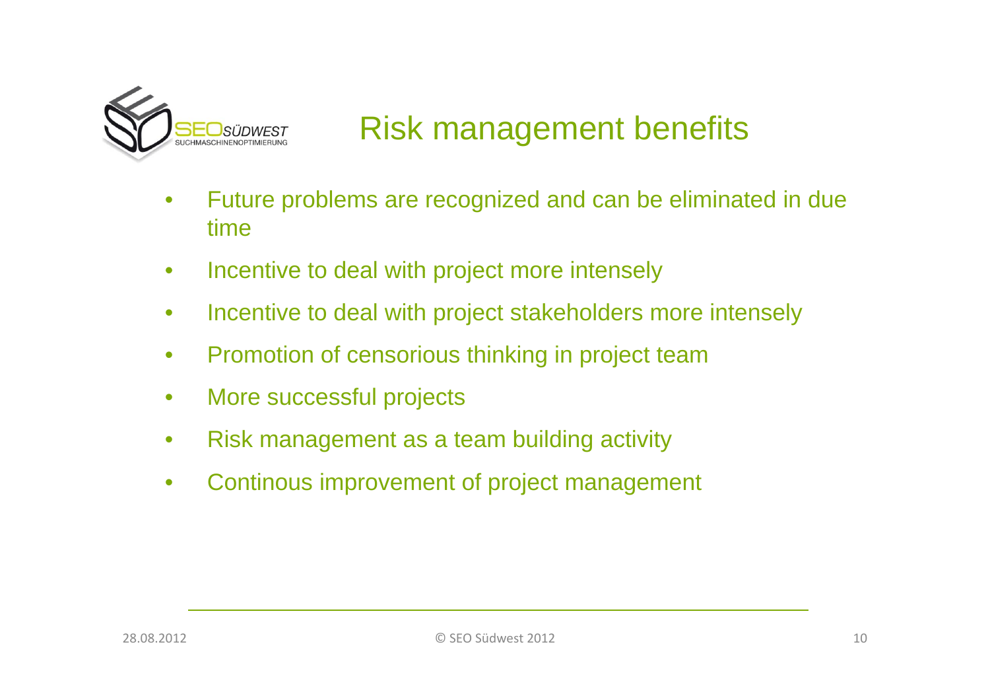

## Risk management benefits

- Future problems are recognized and can be eliminated in due  $\bullet$ time
- $\bullet$ • Incentive to deal with project more intensely
- $\bullet$ Incentive to deal with project stakeholders more intensely
- $\bullet$ • Promotion of censorious thinking in project team
- $\bullet$ More successful projects
- $\bullet$ Risk management as a team building activity
- $\bullet$ Continous improvement of project management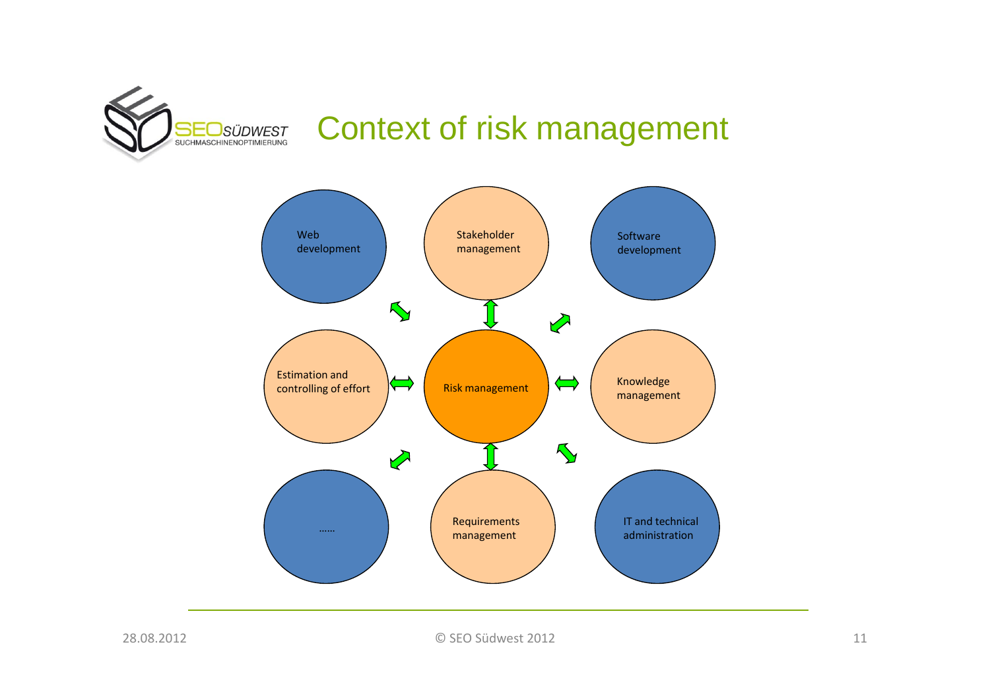

#### Context of risk management

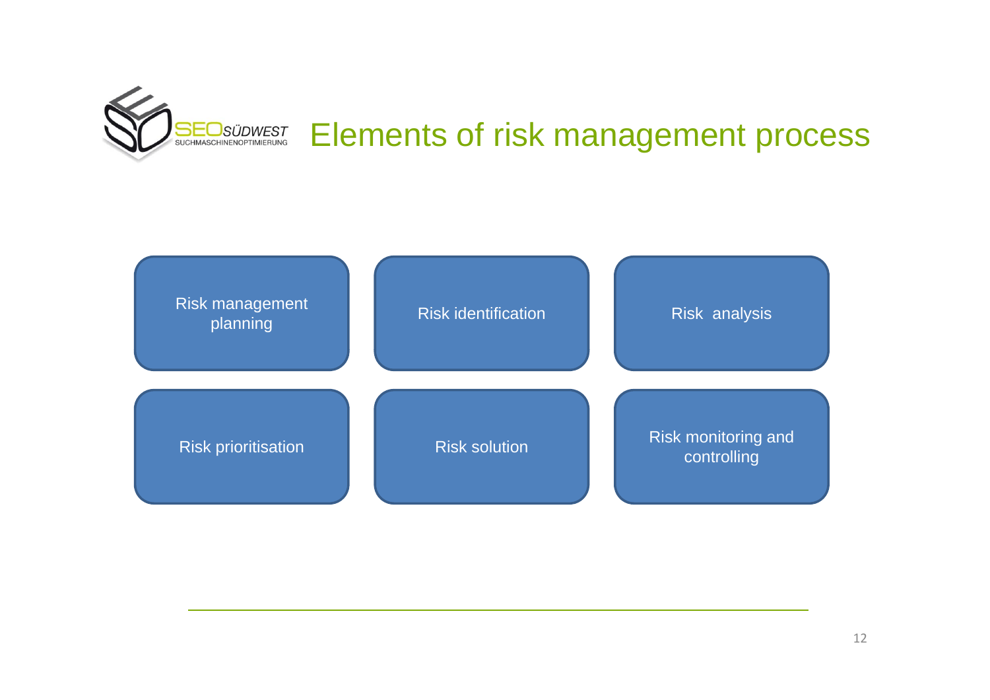

# Elements of risk management process

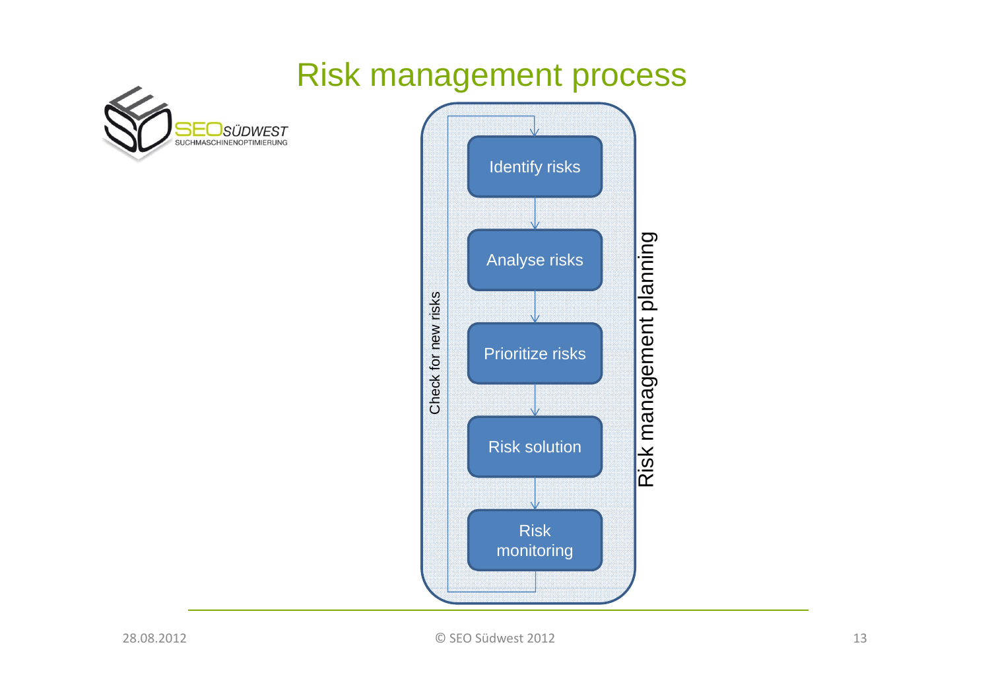#### Risk management process



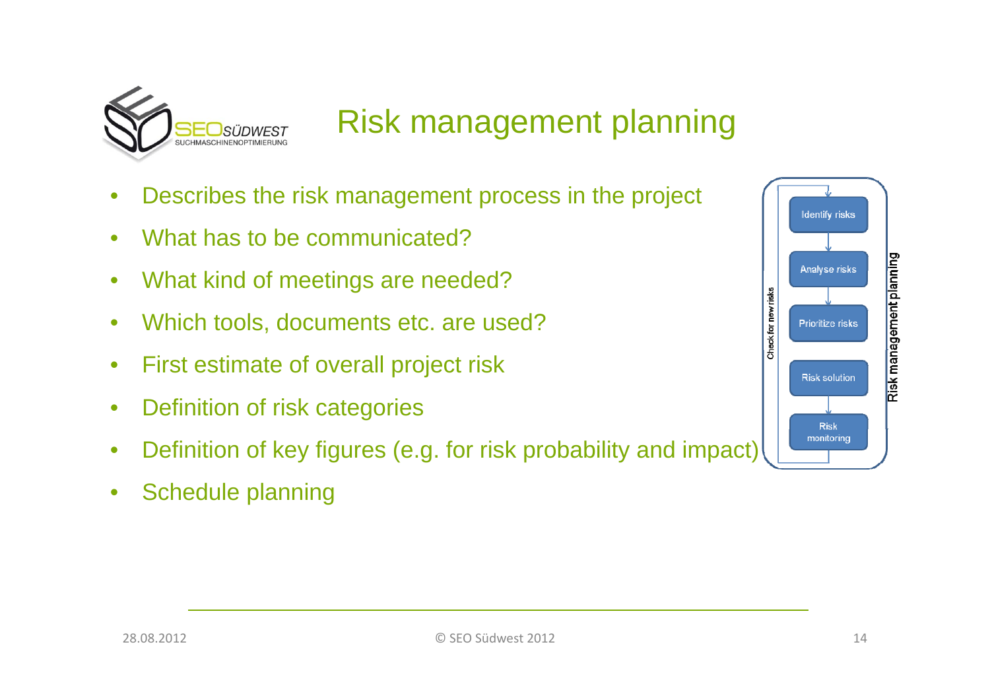

#### Risk management planning

- Describes the risk management process in the project<br>● What has to be communicated? •
- What has to be communicated?
- •What kind of meetings are needed?
- •Which tools, documents etc. are used?
- •First estimate of overall project risk
- •Definition of risk categories
- •Definition of key figures (e.g. for risk probability and impact)
- $\bullet$ Schedule planning

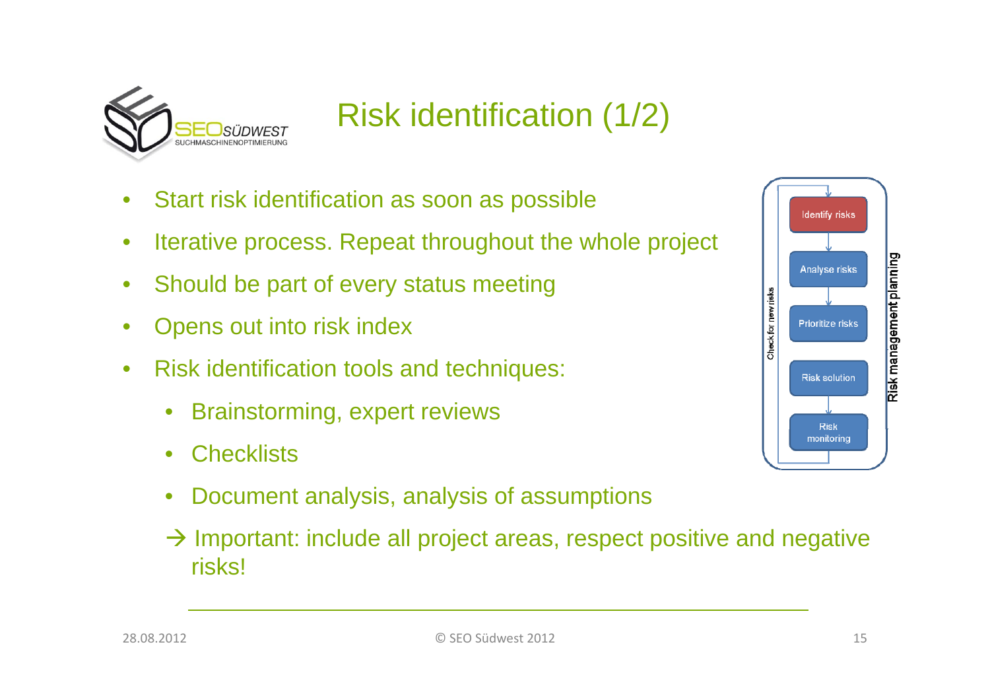

# Risk identification (1/2)

- Start risk identification as soon as possible  $\bullet$
- $\bullet$ Iterative process. Repeat throughout the whole project
- $\bullet$ Should be part of every status meeting
- $\bullet$ Opens out into risk index
- $\bullet$  Risk identification tools and techniques:
	- $\bullet$ Brainstorming, expert reviews
	- $\bullet$ **Checklists**
	- $\bullet$ Document analysis, analysis of assumptions
	- $\rightarrow$  Important: include all project areas, respect positive and negative risks!

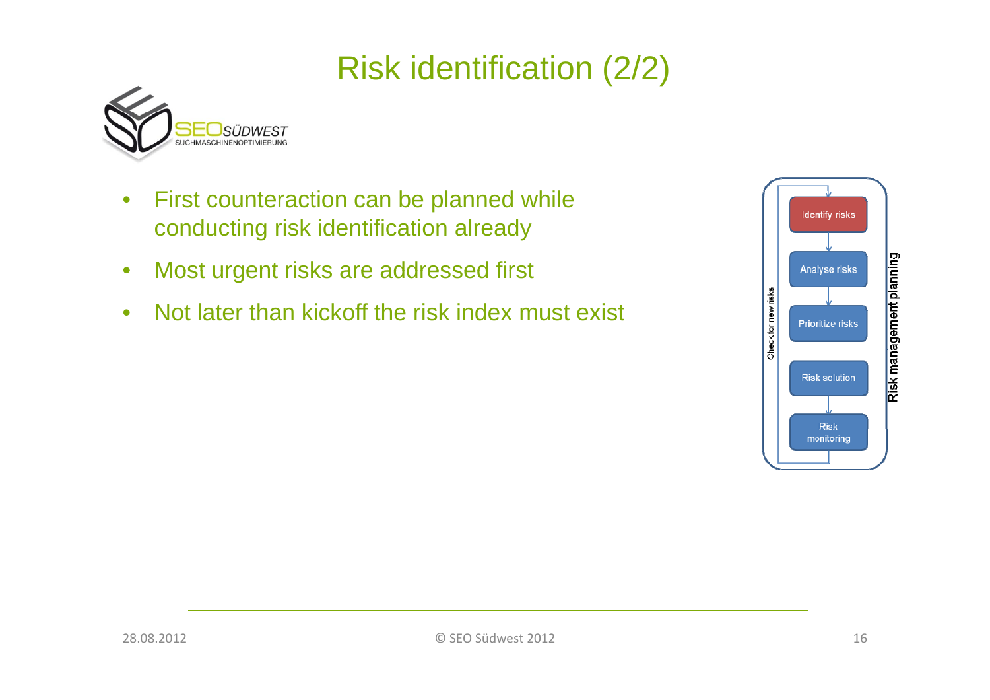# Risk identification (2/2)



- $\bullet$ • First counteraction can be planned while conducting risk identification already
- $\bullet$ Most urgent risks are addressed first
- $\bullet$ Not later than kickoff the risk index must exist

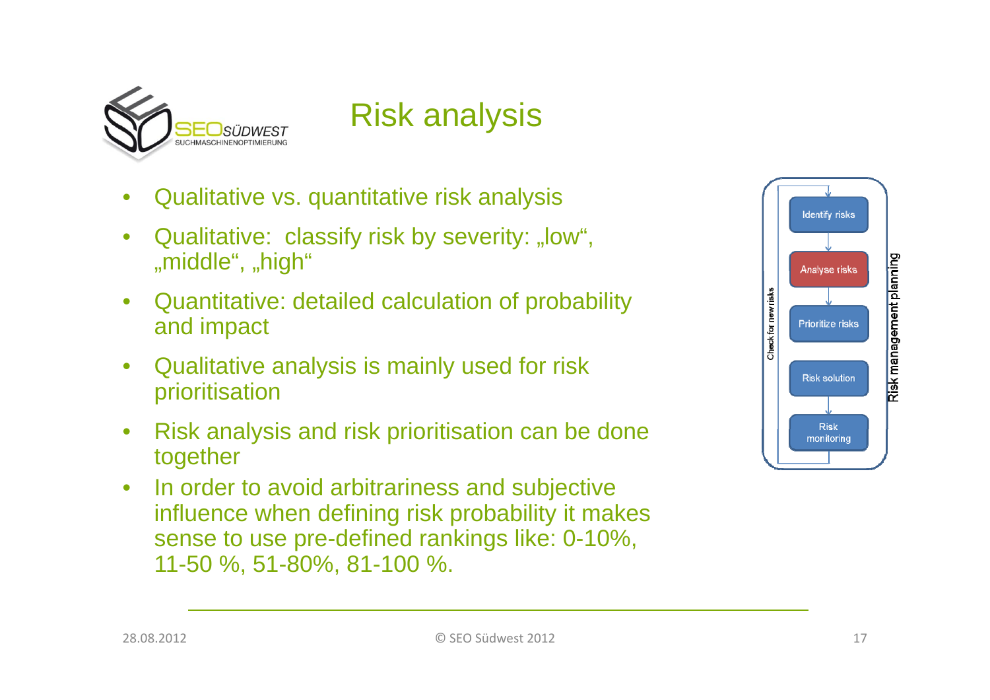

# Risk analysis

- •Qualitative vs. quantitative risk analysis
- •Qualitative: classify risk by severity: "low", "middle", "high"
- $\bullet$  Quantitative: detailed calculation of probability and impact
- $\bullet$  Qualitative analysis is mainly used for risk prioritisation
- $\bullet$ • Risk analysis and risk prioritisation can be done together
- $\bullet$  In order to avoid arbitrariness and subjective influence when defining risk probability it makes sense to use pre-defined rankings like: 0-10%, 11-50 %, 51-80%, 81-100 %.

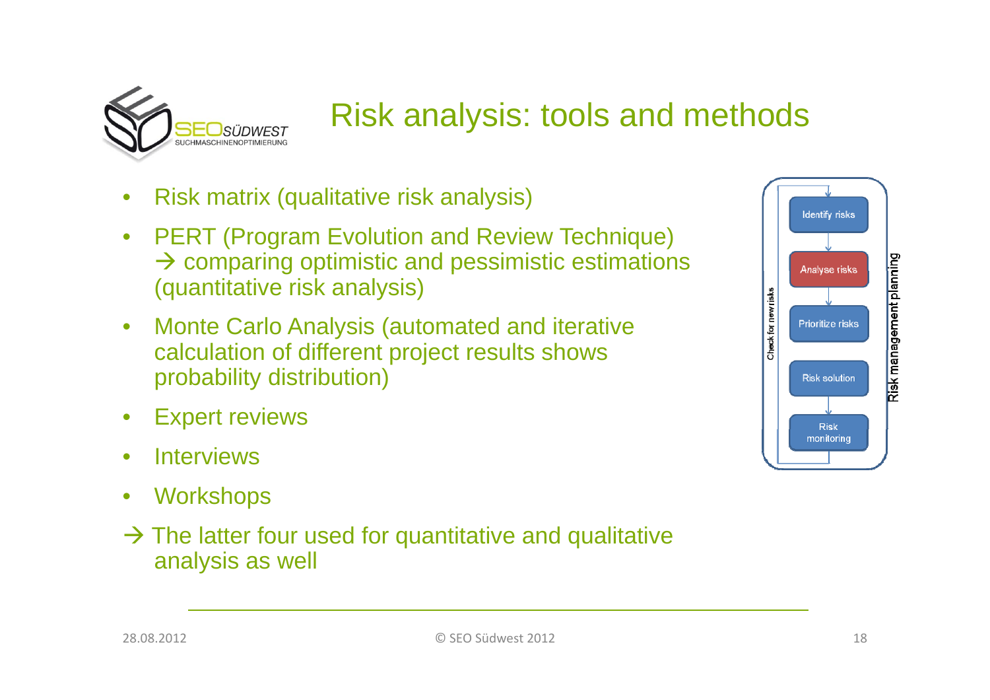

### Risk analysis: tools and methods

- Risk matrix (qualitative risk analysis)<br>• PERT (Program Evolution and Revie •
- PERT (Program Evolution and Review Technique)  $\rightarrow$  comparing optimistic and pessimistic estimations (quantitative risk analysis)
- $\bullet$  Monte Carlo Analysis (automated and iterative calculation of different project results shows probability distribution)
- $\bullet$ Expert reviews
- $\bullet$ **Interviews**
- $\bullet$ **Workshops**
- $\rightarrow$  The latter four used for quantitative and qualitative analysis as well

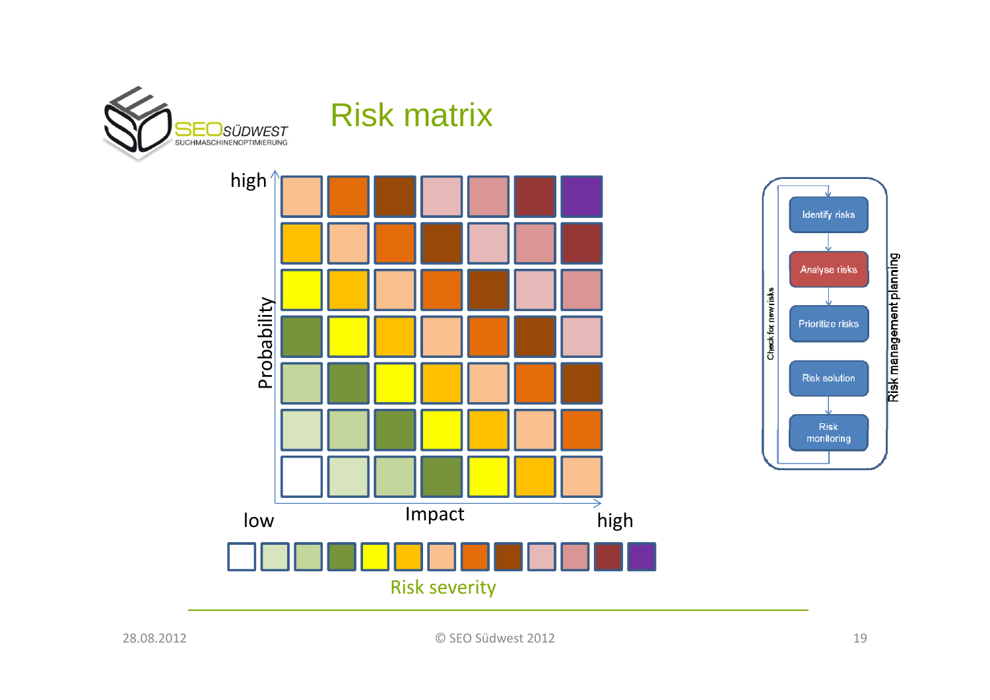

#### Risk matrix

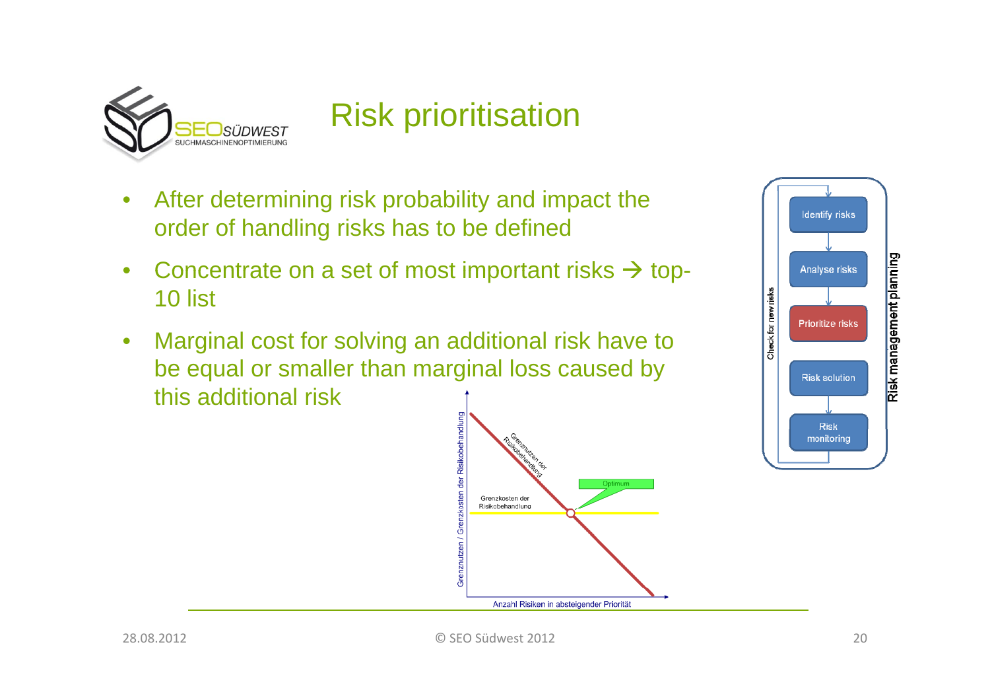

#### Risk prioritisation

- After determining risk probability and impact the  $\bullet$ order of handling risks has to be defined
- $\bullet$ • Concentrate on a set of most important risks  $\rightarrow$  top-10 list
- $\bullet$  Marginal cost for solving an additional risk have to be equal or smaller than marginal loss caused by this additional risk



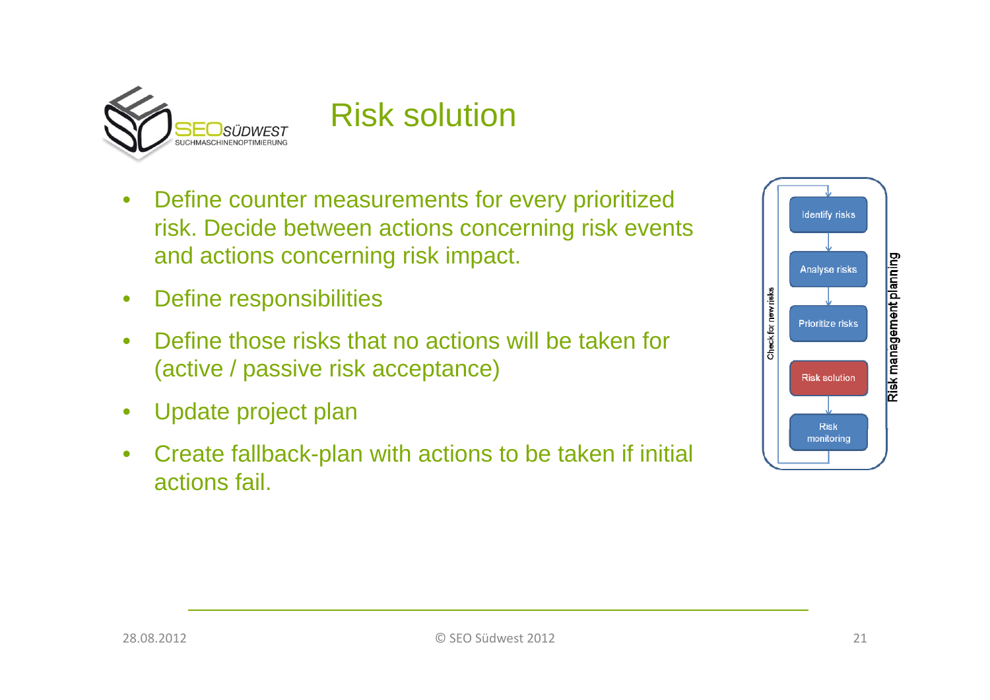

#### Risk solution

- $\bullet$ • Define counter measurements for every prioritized risk. Decide between actions concerning risk events and actions concerning risk impact.
- $\bullet$ Define responsibilities
- $\bullet$  Define those risks that no actions will be taken for(active / passive risk acceptance)
- $\bullet$ Update project plan
- • Create fallback-plan with actions to be taken if initial actions fail.

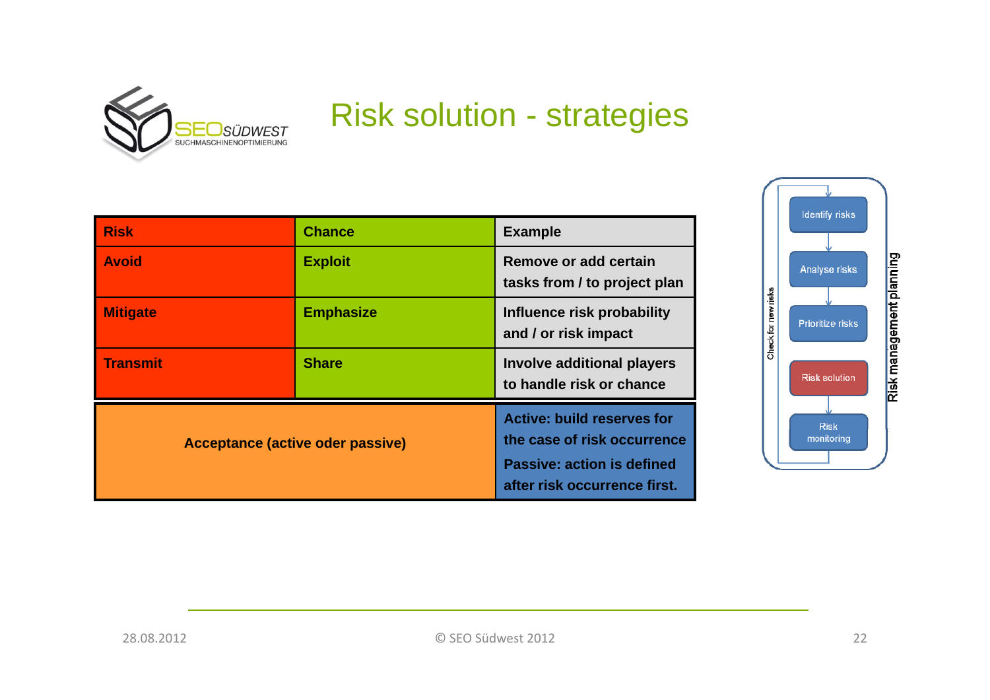

#### Risk solution - strategies

| <b>Risk</b>                      | <b>Chance</b>    | <b>Example</b>                                                                                                                        |
|----------------------------------|------------------|---------------------------------------------------------------------------------------------------------------------------------------|
| <b>Avoid</b>                     | <b>Exploit</b>   | Remove or add certain<br>tasks from / to project plan                                                                                 |
| <b>Mitigate</b>                  | <b>Emphasize</b> | Influence risk probability<br>and / or risk impact                                                                                    |
| <b>Transmit</b>                  | <b>Share</b>     | <b>Involve additional players</b><br>to handle risk or chance                                                                         |
| Acceptance (active oder passive) |                  | <b>Active: build reserves for</b><br>the case of risk occurrence<br><b>Passive: action is defined</b><br>after risk occurrence first. |

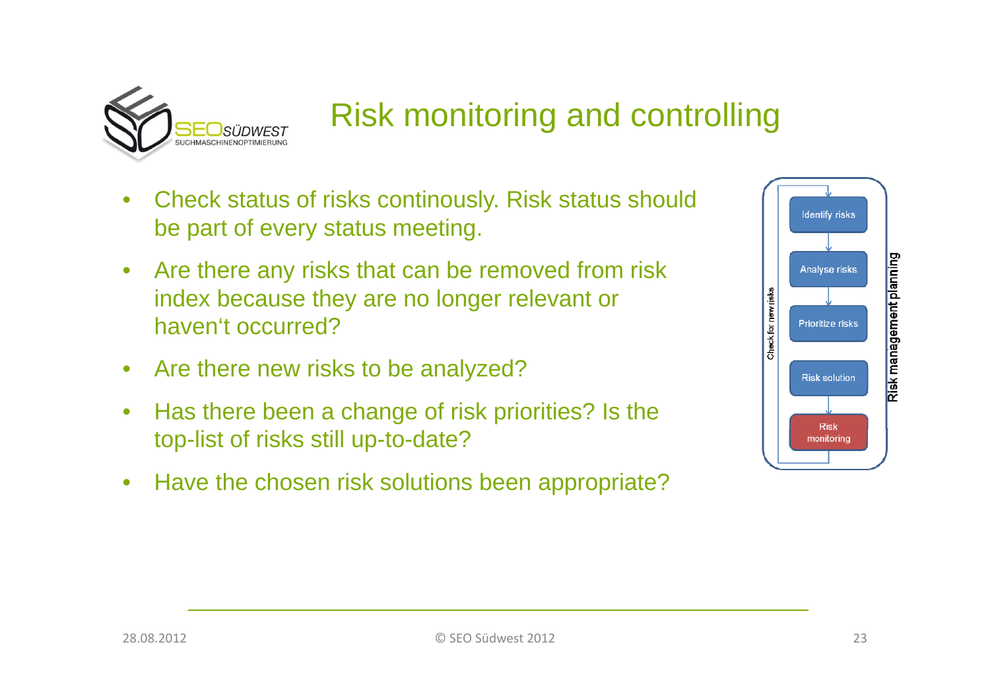

## Risk monitoring and controlling

- Check status of risks continously. Risk status should  $\bullet$ • Check status of risks continously. Risk status should<br>be part of every status meeting.
- $\bullet$ • Are there any risks that can be removed from risk index because they are no longer relevant or haven't occurred?
- Are there new risks to be analyzed?
- $\bullet$  Has there been a change of risk priorities? Is the top-list of risks still up-to-date?
- $\bullet$ Have the chosen risk solutions been appropriate?

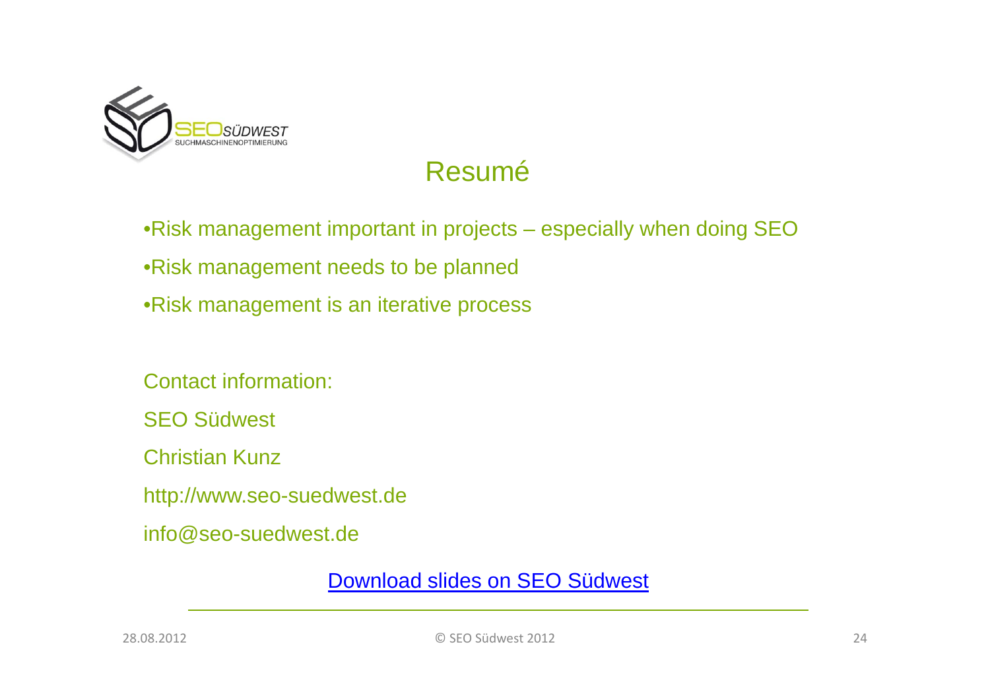

#### Resumé

•Risk management important in projects – especially when doing SEO •Risk management needs to be planned •Risk management is an iterative process

Contact information:

SEO Südwest

Christian Kunz

http://www.seo-suedwest.de

info@seo-suedwest.de

Download slides on SEO Südwest